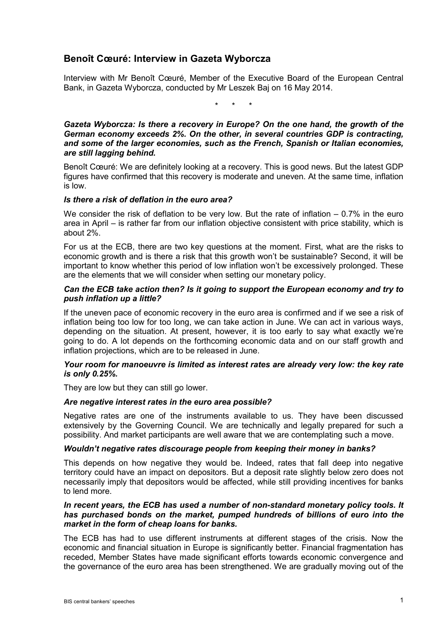# **Benoît Cœuré: Interview in Gazeta Wyborcza**

Interview with Mr Benoît Cœuré, Member of the Executive Board of the European Central Bank, in Gazeta Wyborcza, conducted by Mr Leszek Baj on 16 May 2014.

\* \* \*

*Gazeta Wyborcza: Is there a recovery in Europe? On the one hand, the growth of the German economy exceeds 2%. On the other, in several countries GDP is contracting, and some of the larger economies, such as the French, Spanish or Italian economies, are still lagging behind.*

Benoît Cœuré: We are definitely looking at a recovery. This is good news. But the latest GDP figures have confirmed that this recovery is moderate and uneven. At the same time, inflation is low.

# *Is there a risk of deflation in the euro area?*

We consider the risk of deflation to be very low. But the rate of inflation  $-0.7\%$  in the euro area in April – is rather far from our inflation objective consistent with price stability, which is about 2%.

For us at the ECB, there are two key questions at the moment. First, what are the risks to economic growth and is there a risk that this growth won't be sustainable? Second, it will be important to know whether this period of low inflation won't be excessively prolonged. These are the elements that we will consider when setting our monetary policy.

#### *Can the ECB take action then? Is it going to support the European economy and try to push inflation up a little?*

If the uneven pace of economic recovery in the euro area is confirmed and if we see a risk of inflation being too low for too long, we can take action in June. We can act in various ways, depending on the situation. At present, however, it is too early to say what exactly we're going to do. A lot depends on the forthcoming economic data and on our staff growth and inflation projections, which are to be released in June.

# *Your room for manoeuvre is limited as interest rates are already very low: the key rate is only 0.25%.*

They are low but they can still go lower.

#### *Are negative interest rates in the euro area possible?*

Negative rates are one of the instruments available to us. They have been discussed extensively by the Governing Council. We are technically and legally prepared for such a possibility. And market participants are well aware that we are contemplating such a move.

# *Wouldn't negative rates discourage people from keeping their money in banks?*

This depends on how negative they would be. Indeed, rates that fall deep into negative territory could have an impact on depositors. But a deposit rate slightly below zero does not necessarily imply that depositors would be affected, while still providing incentives for banks to lend more.

# *In recent years, the ECB has used a number of non-standard monetary policy tools. It has purchased bonds on the market, pumped hundreds of billions of euro into the market in the form of cheap loans for banks.*

The ECB has had to use different instruments at different stages of the crisis. Now the economic and financial situation in Europe is significantly better. Financial fragmentation has receded, Member States have made significant efforts towards economic convergence and the governance of the euro area has been strengthened. We are gradually moving out of the